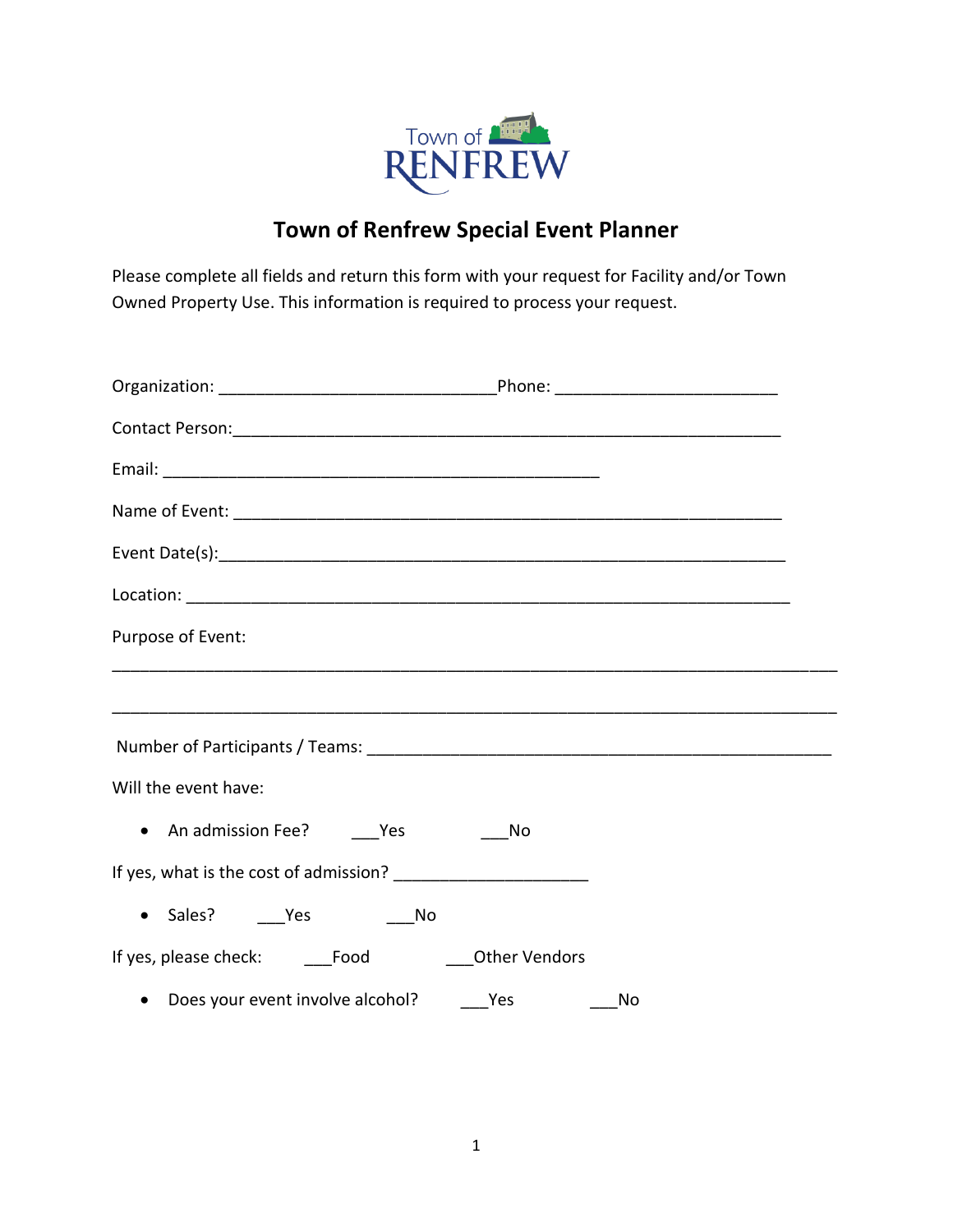

## **Town of Renfrew Special Event Planner**

Please complete all fields and return this form with your request for Facility and/or Town Owned Property Use. This information is required to process your request.

| Contact Person: 1990 and 2000 and 2000 and 2000 and 2000 and 2000 and 2000 and 2000 and 2000 and 2000 and 200 |    |
|---------------------------------------------------------------------------------------------------------------|----|
|                                                                                                               |    |
|                                                                                                               |    |
|                                                                                                               |    |
|                                                                                                               |    |
| Purpose of Event:                                                                                             |    |
|                                                                                                               |    |
|                                                                                                               |    |
|                                                                                                               |    |
| Will the event have:                                                                                          |    |
| • An admission Fee? Yes                                                                                       | No |
|                                                                                                               |    |
| $\bullet$                                                                                                     |    |
|                                                                                                               |    |
| • Does your event involve alcohol? ______ Yes ______                                                          | No |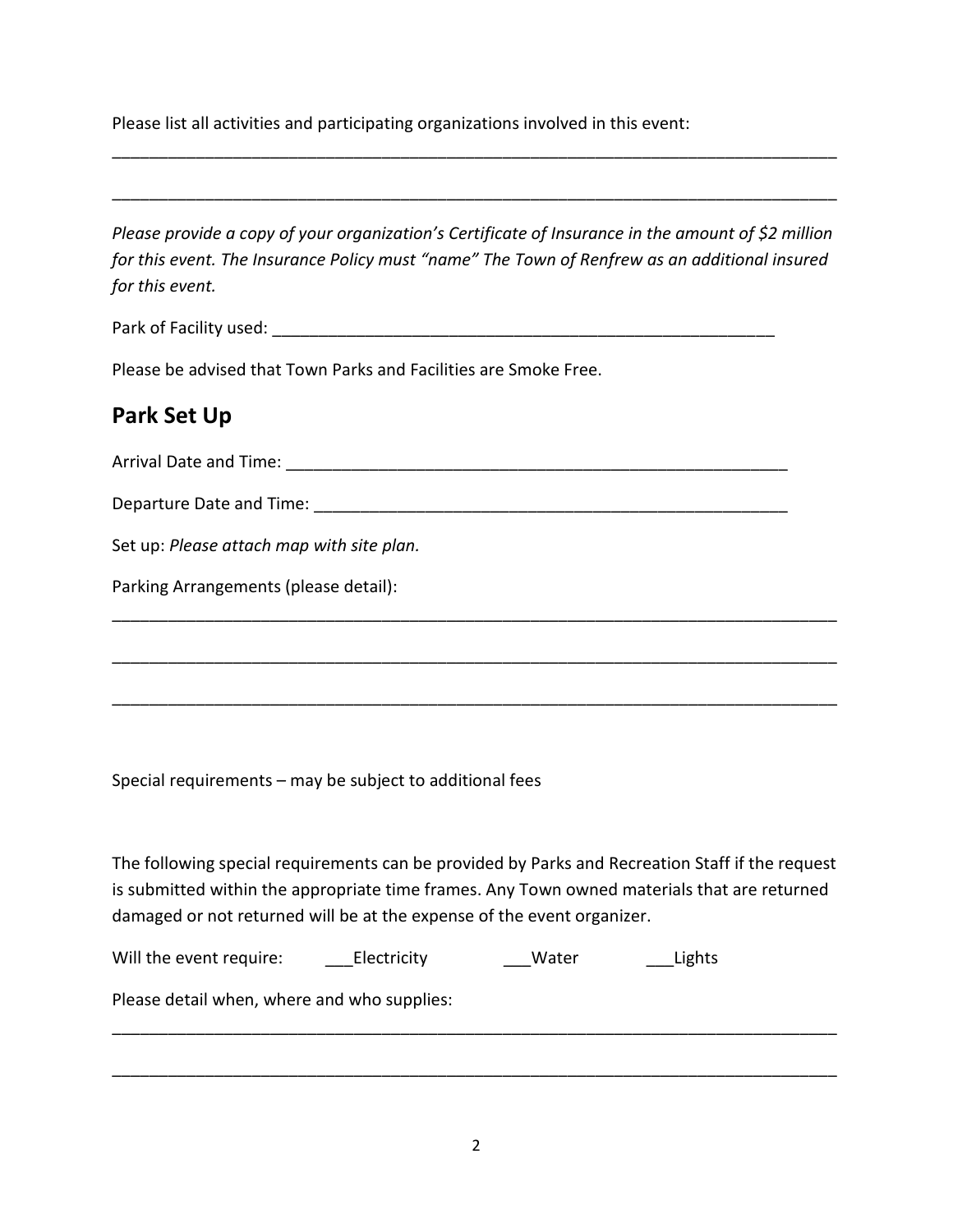Please list all activities and participating organizations involved in this event:

*Please provide a copy of your organization's Certificate of Insurance in the amount of \$2 million for this event. The Insurance Policy must "name" The Town of Renfrew as an additional insured for this event.* 

\_\_\_\_\_\_\_\_\_\_\_\_\_\_\_\_\_\_\_\_\_\_\_\_\_\_\_\_\_\_\_\_\_\_\_\_\_\_\_\_\_\_\_\_\_\_\_\_\_\_\_\_\_\_\_\_\_\_\_\_\_\_\_\_\_\_\_\_\_\_\_\_\_\_\_\_\_\_

\_\_\_\_\_\_\_\_\_\_\_\_\_\_\_\_\_\_\_\_\_\_\_\_\_\_\_\_\_\_\_\_\_\_\_\_\_\_\_\_\_\_\_\_\_\_\_\_\_\_\_\_\_\_\_\_\_\_\_\_\_\_\_\_\_\_\_\_\_\_\_\_\_\_\_\_\_\_

Park of Facility used: \_\_\_\_\_\_\_\_\_\_\_\_\_\_\_\_\_\_\_\_\_\_\_\_\_\_\_\_\_\_\_\_\_\_\_\_\_\_\_\_\_\_\_\_\_\_\_\_\_\_\_\_\_\_

Please be advised that Town Parks and Facilities are Smoke Free.

## **Park Set Up**

Arrival Date and Time: **All and Time** and  $\overline{a}$  and  $\overline{b}$  and  $\overline{c}$  and  $\overline{d}$  and  $\overline{b}$  and  $\overline{a}$  and  $\overline{b}$  and  $\overline{a}$  and  $\overline{a}$  and  $\overline{a}$  and  $\overline{a}$  and  $\overline{a}$  and  $\overline{a}$  and  $\overline{a}$  an

Departure Date and Time: \_\_\_\_\_\_\_\_\_\_\_\_\_\_\_\_\_\_\_\_\_\_\_\_\_\_\_\_\_\_\_\_\_\_\_\_\_\_\_\_\_\_\_\_\_\_\_\_\_\_\_

Set up: *Please attach map with site plan.*

Parking Arrangements (please detail):

Special requirements – may be subject to additional fees

The following special requirements can be provided by Parks and Recreation Staff if the request is submitted within the appropriate time frames. Any Town owned materials that are returned damaged or not returned will be at the expense of the event organizer.

\_\_\_\_\_\_\_\_\_\_\_\_\_\_\_\_\_\_\_\_\_\_\_\_\_\_\_\_\_\_\_\_\_\_\_\_\_\_\_\_\_\_\_\_\_\_\_\_\_\_\_\_\_\_\_\_\_\_\_\_\_\_\_\_\_\_\_\_\_\_\_\_\_\_\_\_\_\_

\_\_\_\_\_\_\_\_\_\_\_\_\_\_\_\_\_\_\_\_\_\_\_\_\_\_\_\_\_\_\_\_\_\_\_\_\_\_\_\_\_\_\_\_\_\_\_\_\_\_\_\_\_\_\_\_\_\_\_\_\_\_\_\_\_\_\_\_\_\_\_\_\_\_\_\_\_\_

\_\_\_\_\_\_\_\_\_\_\_\_\_\_\_\_\_\_\_\_\_\_\_\_\_\_\_\_\_\_\_\_\_\_\_\_\_\_\_\_\_\_\_\_\_\_\_\_\_\_\_\_\_\_\_\_\_\_\_\_\_\_\_\_\_\_\_\_\_\_\_\_\_\_\_\_\_\_

Will the event require: Lights Electricity **Example 20 Water** Lights

Please detail when, where and who supplies:

\_\_\_\_\_\_\_\_\_\_\_\_\_\_\_\_\_\_\_\_\_\_\_\_\_\_\_\_\_\_\_\_\_\_\_\_\_\_\_\_\_\_\_\_\_\_\_\_\_\_\_\_\_\_\_\_\_\_\_\_\_\_\_\_\_\_\_\_\_\_\_\_\_\_\_\_\_\_

\_\_\_\_\_\_\_\_\_\_\_\_\_\_\_\_\_\_\_\_\_\_\_\_\_\_\_\_\_\_\_\_\_\_\_\_\_\_\_\_\_\_\_\_\_\_\_\_\_\_\_\_\_\_\_\_\_\_\_\_\_\_\_\_\_\_\_\_\_\_\_\_\_\_\_\_\_\_